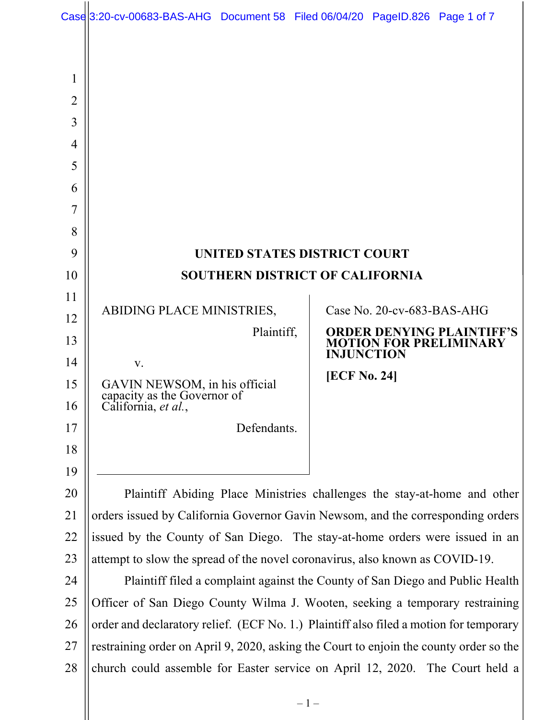|                     | Case 3:20-cv-00683-BAS-AHG Document 58 Filed 06/04/20 PageID.826 Page 1 of 7           |                                                                                        |                     |                                                                                        |  |  |
|---------------------|----------------------------------------------------------------------------------------|----------------------------------------------------------------------------------------|---------------------|----------------------------------------------------------------------------------------|--|--|
| 1<br>$\overline{2}$ |                                                                                        |                                                                                        |                     |                                                                                        |  |  |
| 3                   |                                                                                        |                                                                                        |                     |                                                                                        |  |  |
| 4                   |                                                                                        |                                                                                        |                     |                                                                                        |  |  |
| 5                   |                                                                                        |                                                                                        |                     |                                                                                        |  |  |
| 6                   |                                                                                        |                                                                                        |                     |                                                                                        |  |  |
| 7                   |                                                                                        |                                                                                        |                     |                                                                                        |  |  |
| 8                   |                                                                                        |                                                                                        |                     |                                                                                        |  |  |
| 9                   | UNITED STATES DISTRICT COURT                                                           |                                                                                        |                     |                                                                                        |  |  |
| 10                  | <b>SOUTHERN DISTRICT OF CALIFORNIA</b>                                                 |                                                                                        |                     |                                                                                        |  |  |
| 11                  | Case No. 20-cv-683-BAS-AHG                                                             |                                                                                        |                     |                                                                                        |  |  |
| 12                  | ABIDING PLACE MINISTRIES,                                                              |                                                                                        |                     |                                                                                        |  |  |
| 13                  | Plaintiff,                                                                             |                                                                                        |                     | <b>ORDER DENYING PLAINTIFF'S</b><br><b>MOTION FOR PRELIMINARY</b><br><b>INJUNCTION</b> |  |  |
| 14                  | V.                                                                                     |                                                                                        | <b>[ECF No. 24]</b> |                                                                                        |  |  |
| 15<br>16            | GAVIN NEWSOM, in his official<br>capacity as the Governor of<br>California, et al.,    |                                                                                        |                     |                                                                                        |  |  |
| 17                  |                                                                                        | Defendants.                                                                            |                     |                                                                                        |  |  |
| 18                  |                                                                                        |                                                                                        |                     |                                                                                        |  |  |
| 19                  |                                                                                        |                                                                                        |                     |                                                                                        |  |  |
| 20                  | Plaintiff Abiding Place Ministries challenges the stay-at-home and other               |                                                                                        |                     |                                                                                        |  |  |
| 21                  | orders issued by California Governor Gavin Newsom, and the corresponding orders        |                                                                                        |                     |                                                                                        |  |  |
| 22                  | issued by the County of San Diego. The stay-at-home orders were issued in an           |                                                                                        |                     |                                                                                        |  |  |
| 23                  | attempt to slow the spread of the novel coronavirus, also known as COVID-19.           |                                                                                        |                     |                                                                                        |  |  |
| 24                  | Plaintiff filed a complaint against the County of San Diego and Public Health          |                                                                                        |                     |                                                                                        |  |  |
| 25                  | Officer of San Diego County Wilma J. Wooten, seeking a temporary restraining           |                                                                                        |                     |                                                                                        |  |  |
| 26                  |                                                                                        | order and declaratory relief. (ECF No. 1.) Plaintiff also filed a motion for temporary |                     |                                                                                        |  |  |
| 27                  | restraining order on April 9, 2020, asking the Court to enjoin the county order so the |                                                                                        |                     |                                                                                        |  |  |

28 || church could assemble for Easter service on April 12, 2020. The Court held a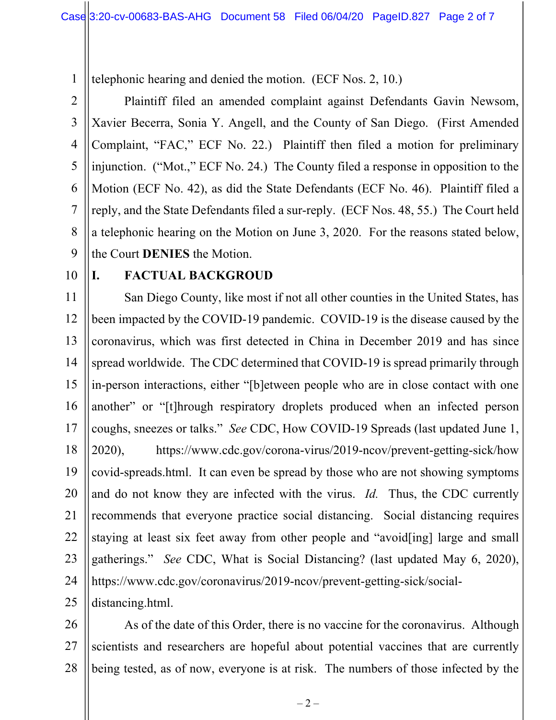1 telephonic hearing and denied the motion. (ECF Nos. 2, 10.)

2 3 4 5 6 7 8 9 Plaintiff filed an amended complaint against Defendants Gavin Newsom, Xavier Becerra, Sonia Y. Angell, and the County of San Diego. (First Amended Complaint, "FAC," ECF No. 22.) Plaintiff then filed a motion for preliminary injunction. ("Mot.," ECF No. 24.) The County filed a response in opposition to the Motion (ECF No. 42), as did the State Defendants (ECF No. 46). Plaintiff filed a reply, and the State Defendants filed a sur-reply. (ECF Nos. 48, 55.) The Court held a telephonic hearing on the Motion on June 3, 2020. For the reasons stated below, the Court **DENIES** the Motion.

10

## **I. FACTUAL BACKGROUD**

11 12 13 14 15 16 17 18 19 20 21 22 23 24 San Diego County, like most if not all other counties in the United States, has been impacted by the COVID-19 pandemic. COVID-19 is the disease caused by the coronavirus, which was first detected in China in December 2019 and has since spread worldwide. The CDC determined that COVID-19 is spread primarily through in-person interactions, either "[b]etween people who are in close contact with one another" or "[t]hrough respiratory droplets produced when an infected person coughs, sneezes or talks." *See* CDC, How COVID-19 Spreads (last updated June 1, 2020), https://www.cdc.gov/corona-virus/2019-ncov/prevent-getting-sick/how covid-spreads.html. It can even be spread by those who are not showing symptoms and do not know they are infected with the virus. *Id.* Thus, the CDC currently recommends that everyone practice social distancing. Social distancing requires staying at least six feet away from other people and "avoid[ing] large and small gatherings." *See* CDC, What is Social Distancing? (last updated May 6, 2020), https://www.cdc.gov/coronavirus/2019-ncov/prevent-getting-sick/socialdistancing.html.

25

26 27 28 As of the date of this Order, there is no vaccine for the coronavirus. Although scientists and researchers are hopeful about potential vaccines that are currently being tested, as of now, everyone is at risk. The numbers of those infected by the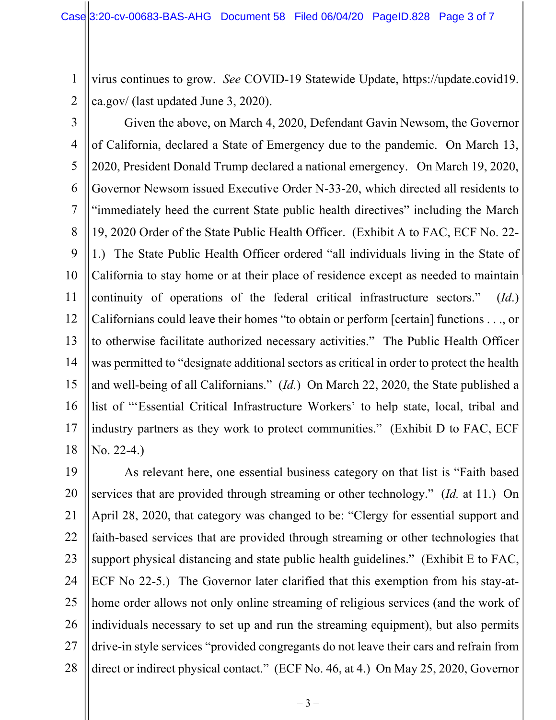2 virus continues to grow. *See* COVID-19 Statewide Update, https://update.covid19. ca.gov/ (last updated June 3, 2020).

3

1

4 5 6 7 8 9 10 11 12 13 14 15 16 17 18 Given the above, on March 4, 2020, Defendant Gavin Newsom, the Governor of California, declared a State of Emergency due to the pandemic. On March 13, 2020, President Donald Trump declared a national emergency. On March 19, 2020, Governor Newsom issued Executive Order N-33-20, which directed all residents to "immediately heed the current State public health directives" including the March 19, 2020 Order of the State Public Health Officer. (Exhibit A to FAC, ECF No. 22- 1.) The State Public Health Officer ordered "all individuals living in the State of California to stay home or at their place of residence except as needed to maintain continuity of operations of the federal critical infrastructure sectors." (*Id*.) Californians could leave their homes "to obtain or perform [certain] functions . . ., or to otherwise facilitate authorized necessary activities." The Public Health Officer was permitted to "designate additional sectors as critical in order to protect the health and well-being of all Californians." (*Id.*) On March 22, 2020, the State published a list of "'Essential Critical Infrastructure Workers' to help state, local, tribal and industry partners as they work to protect communities." (Exhibit D to FAC, ECF No. 22-4.)

19 20 21 22 23 24 25 26 27 28 As relevant here, one essential business category on that list is "Faith based services that are provided through streaming or other technology." (*Id.* at 11.) On April 28, 2020, that category was changed to be: "Clergy for essential support and faith-based services that are provided through streaming or other technologies that support physical distancing and state public health guidelines." (Exhibit E to FAC, ECF No 22-5.) The Governor later clarified that this exemption from his stay-athome order allows not only online streaming of religious services (and the work of individuals necessary to set up and run the streaming equipment), but also permits drive-in style services "provided congregants do not leave their cars and refrain from direct or indirect physical contact." (ECF No. 46, at 4.) On May 25, 2020, Governor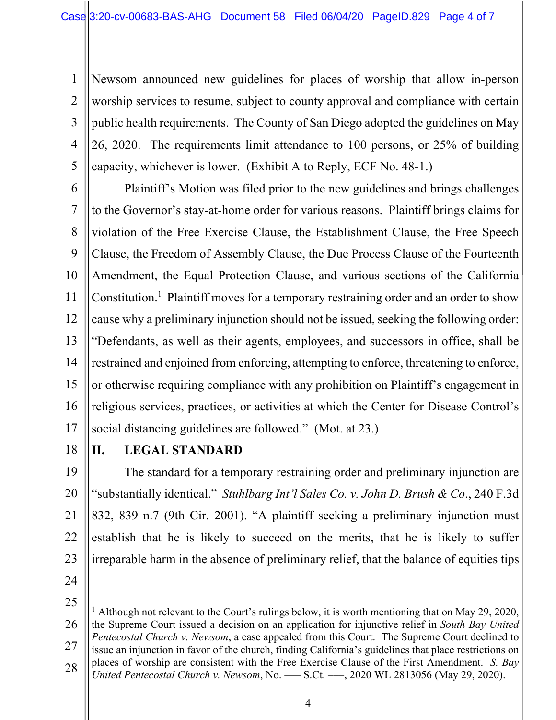1 2 3 4 5 Newsom announced new guidelines for places of worship that allow in-person worship services to resume, subject to county approval and compliance with certain public health requirements. The County of San Diego adopted the guidelines on May 26, 2020. The requirements limit attendance to 100 persons, or 25% of building capacity, whichever is lower. (Exhibit A to Reply, ECF No. 48-1.)

6 7 8 9 10 11 12 13 14 15 16 17 Plaintiff's Motion was filed prior to the new guidelines and brings challenges to the Governor's stay-at-home order for various reasons. Plaintiff brings claims for violation of the Free Exercise Clause, the Establishment Clause, the Free Speech Clause, the Freedom of Assembly Clause, the Due Process Clause of the Fourteenth Amendment, the Equal Protection Clause, and various sections of the California Constitution.<sup>1</sup> Plaintiff moves for a temporary restraining order and an order to show cause why a preliminary injunction should not be issued, seeking the following order: "Defendants, as well as their agents, employees, and successors in office, shall be restrained and enjoined from enforcing, attempting to enforce, threatening to enforce, or otherwise requiring compliance with any prohibition on Plaintiff's engagement in religious services, practices, or activities at which the Center for Disease Control's social distancing guidelines are followed." (Mot. at 23.)

18

## **II. LEGAL STANDARD**

19 20 21 22 23 The standard for a temporary restraining order and preliminary injunction are "substantially identical." *Stuhlbarg Int'l Sales Co. v. John D. Brush & Co*., 240 F.3d 832, 839 n.7 (9th Cir. 2001). "A plaintiff seeking a preliminary injunction must establish that he is likely to succeed on the merits, that he is likely to suffer irreparable harm in the absence of preliminary relief, that the balance of equities tips

24

<sup>25</sup> 26 27 28 <sup>1</sup> Although not relevant to the Court's rulings below, it is worth mentioning that on May 29, 2020, the Supreme Court issued a decision on an application for injunctive relief in *South Bay United Pentecostal Church v. Newsom*, a case appealed from this Court. The Supreme Court declined to issue an injunction in favor of the church, finding California's guidelines that place restrictions on places of worship are consistent with the Free Exercise Clause of the First Amendment. *S. Bay United Pentecostal Church v. Newsom*, No. ––– S.Ct. –––, 2020 WL 2813056 (May 29, 2020).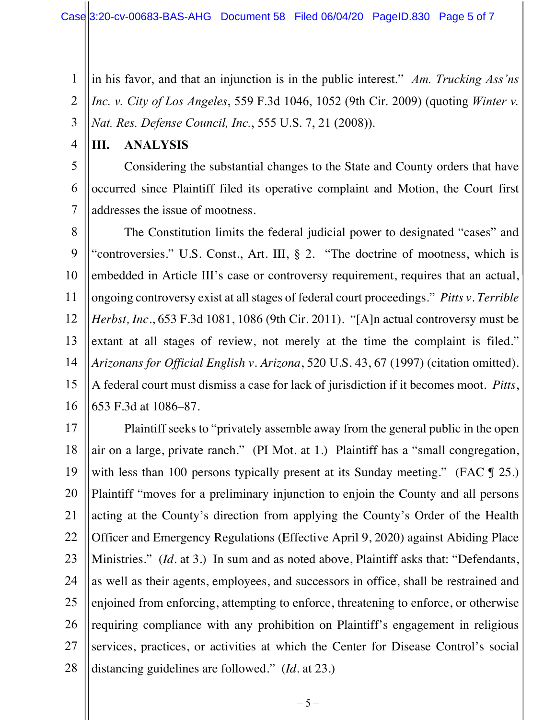1 2 3 in his favor, and that an injunction is in the public interest." *Am. Trucking Ass'ns Inc. v. City of Los Angeles*, 559 F.3d 1046, 1052 (9th Cir. 2009) (quoting *Winter v. Nat. Res. Defense Council, Inc.*, 555 U.S. 7, 21 (2008)).

4

## **III. ANALYSIS**

5 6 7 Considering the substantial changes to the State and County orders that have occurred since Plaintiff filed its operative complaint and Motion, the Court first addresses the issue of mootness.

8 9 10 11 12 13 14 15 16 The Constitution limits the federal judicial power to designated "cases" and "controversies." U.S. Const., Art. III, § 2. "The doctrine of mootness, which is embedded in Article III's case or controversy requirement, requires that an actual, ongoing controversy exist at all stages of federal court proceedings." *Pitts v. Terrible Herbst, Inc.*, 653 F.3d 1081, 1086 (9th Cir. 2011). "[A]n actual controversy must be extant at all stages of review, not merely at the time the complaint is filed." *Arizonans for Official English v. Arizona*, 520 U.S. 43, 67 (1997) (citation omitted). A federal court must dismiss a case for lack of jurisdiction if it becomes moot. *Pitts*, 653 F.3d at 1086–87.

17 18 19 20 21 22 23 24 25 26 27 28 Plaintiff seeks to "privately assemble away from the general public in the open air on a large, private ranch." (PI Mot. at 1.) Plaintiff has a "small congregation, with less than 100 persons typically present at its Sunday meeting." (FAC  $\parallel$  25.) Plaintiff "moves for a preliminary injunction to enjoin the County and all persons acting at the County's direction from applying the County's Order of the Health Officer and Emergency Regulations (Effective April 9, 2020) against Abiding Place Ministries." (*Id.* at 3.) In sum and as noted above, Plaintiff asks that: "Defendants, as well as their agents, employees, and successors in office, shall be restrained and enjoined from enforcing, attempting to enforce, threatening to enforce, or otherwise requiring compliance with any prohibition on Plaintiff's engagement in religious services, practices, or activities at which the Center for Disease Control's social distancing guidelines are followed." (*Id.* at 23.)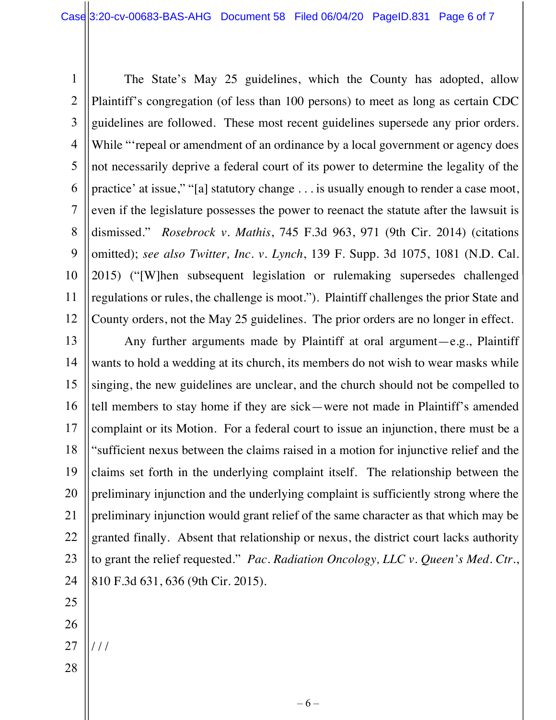1 2 3 4 5 6 7 8 9 10 11 12 The State's May 25 guidelines, which the County has adopted, allow Plaintiff's congregation (of less than 100 persons) to meet as long as certain CDC guidelines are followed. These most recent guidelines supersede any prior orders. While "repeal or amendment of an ordinance by a local government or agency does not necessarily deprive a federal court of its power to determine the legality of the practice' at issue," "[a] statutory change . . . is usually enough to render a case moot, even if the legislature possesses the power to reenact the statute after the lawsuit is dismissed." *Rosebrock v. Mathis*, 745 F.3d 963, 971 (9th Cir. 2014) (citations omitted); *see also Twitter, Inc. v. Lynch*, 139 F. Supp. 3d 1075, 1081 (N.D. Cal. 2015) ("[W]hen subsequent legislation or rulemaking supersedes challenged regulations or rules, the challenge is moot."). Plaintiff challenges the prior State and County orders, not the May 25 guidelines. The prior orders are no longer in effect.

13 14 15 16 17 18 19 20 21 22 23 24 Any further arguments made by Plaintiff at oral argument—e.g., Plaintiff wants to hold a wedding at its church, its members do not wish to wear masks while singing, the new guidelines are unclear, and the church should not be compelled to tell members to stay home if they are sick—were not made in Plaintiff's amended complaint or its Motion. For a federal court to issue an injunction, there must be a "sufficient nexus between the claims raised in a motion for injunctive relief and the claims set forth in the underlying complaint itself. The relationship between the preliminary injunction and the underlying complaint is sufficiently strong where the preliminary injunction would grant relief of the same character as that which may be granted finally. Absent that relationship or nexus, the district court lacks authority to grant the relief requested." *Pac. Radiation Oncology, LLC v. Queen's Med. Ctr.*, 810 F.3d 631, 636 (9th Cir. 2015).

- 25
- 26
- 27 / / /
- 28